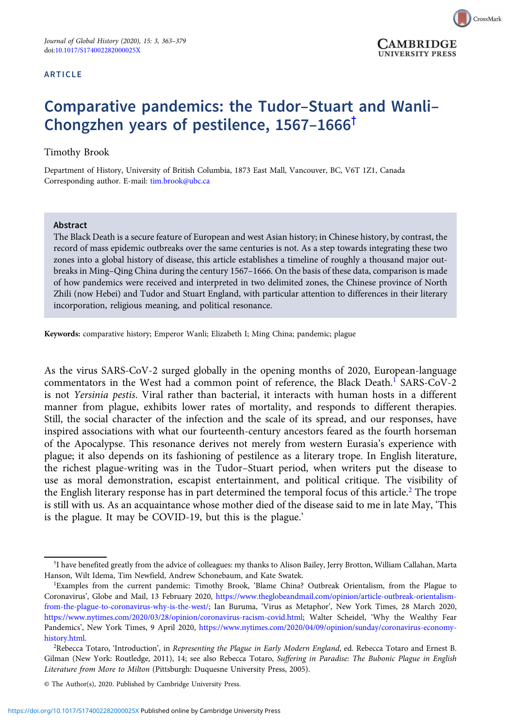#### ARTICLE



# Comparative pandemics: the Tudor–Stuart and Wanli– Chongzhen years of pestilence, 1567–1666†

#### Timothy Brook

Department of History, University of British Columbia, 1873 East Mall, Vancouver, BC, V6T 1Z1, Canada Corresponding author. E-mail: [tim.brook@ubc.ca](mailto:tim.brook@ubc.ca)

#### Abstract

The Black Death is a secure feature of European and west Asian history; in Chinese history, by contrast, the record of mass epidemic outbreaks over the same centuries is not. As a step towards integrating these two zones into a global history of disease, this article establishes a timeline of roughly a thousand major outbreaks in Ming–Qing China during the century 1567–1666. On the basis of these data, comparison is made of how pandemics were received and interpreted in two delimited zones, the Chinese province of North Zhili (now Hebei) and Tudor and Stuart England, with particular attention to differences in their literary incorporation, religious meaning, and political resonance.

Keywords: comparative history; Emperor Wanli; Elizabeth I; Ming China; pandemic; plague

As the virus SARS-CoV-2 surged globally in the opening months of 2020, European-language commentators in the West had a common point of reference, the Black Death.<sup>1</sup> SARS-CoV-2 is not Yersinia pestis. Viral rather than bacterial, it interacts with human hosts in a different manner from plague, exhibits lower rates of mortality, and responds to different therapies. Still, the social character of the infection and the scale of its spread, and our responses, have inspired associations with what our fourteenth-century ancestors feared as the fourth horseman of the Apocalypse. This resonance derives not merely from western Eurasia's experience with plague; it also depends on its fashioning of pestilence as a literary trope. In English literature, the richest plague-writing was in the Tudor–Stuart period, when writers put the disease to use as moral demonstration, escapist entertainment, and political critique. The visibility of the English literary response has in part determined the temporal focus of this article.<sup>2</sup> The trope is still with us. As an acquaintance whose mother died of the disease said to me in late May, 'This is the plague. It may be COVID-19, but this is the plague.'

<sup>†</sup> I have benefited greatly from the advice of colleagues: my thanks to Alison Bailey, Jerry Brotton, William Callahan, Marta Hanson, Wilt Idema, Tim Newfield, Andrew Schonebaum, and Kate Swatek.

<sup>&</sup>lt;sup>1</sup>Examples from the current pandemic: Timothy Brook, 'Blame China? Outbreak Orientalism, from the Plague to Coronavirus', Globe and Mail, 13 February 2020, [https://www.theglobeandmail.com/opinion/article-outbreak-orientalism](https://www.theglobeandmail.com/opinion/article-outbreak-orientalism-from-the-plague-to-coronavirus-why-is-the-west/)[from-the-plague-to-coronavirus-why-is-the-west/;](https://www.theglobeandmail.com/opinion/article-outbreak-orientalism-from-the-plague-to-coronavirus-why-is-the-west/) Ian Buruma, 'Virus as Metaphor', New York Times, 28 March 2020, <https://www.nytimes.com/2020/03/28/opinion/coronavirus-racism-covid.html>; Walter Scheidel, 'Why the Wealthy Fear Pandemics', New York Times, 9 April 2020, [https://www.nytimes.com/2020/04/09/opinion/sunday/coronavirus-economy](https://www.nytimes.com/2020/04/09/opinion/sunday/coronavirus-economy-history.html)[history.html.](https://www.nytimes.com/2020/04/09/opinion/sunday/coronavirus-economy-history.html)

<sup>&</sup>lt;sup>2</sup>Rebecca Totaro, 'Introduction', in Representing the Plague in Early Modern England, ed. Rebecca Totaro and Ernest B. Gilman (New York: Routledge, 2011), 14; see also Rebecca Totaro, Suffering in Paradise: The Bubonic Plague in English Literature from More to Milton (Pittsburgh: Duquesne University Press, 2005).

<sup>©</sup> The Author(s), 2020. Published by Cambridge University Press.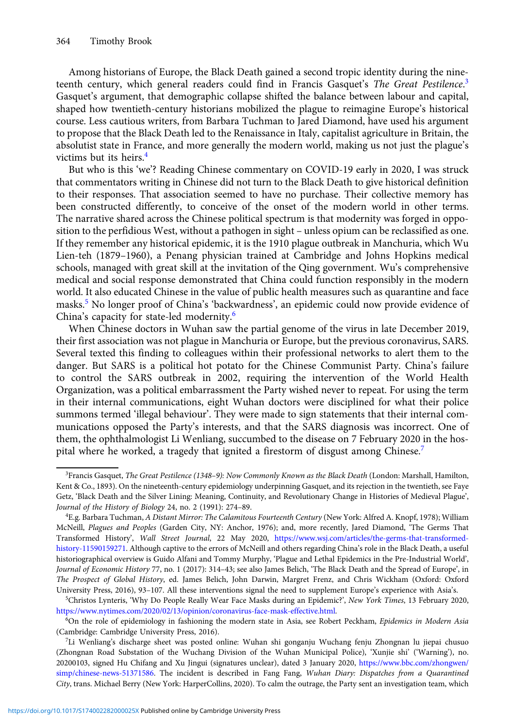Among historians of Europe, the Black Death gained a second tropic identity during the nineteenth century, which general readers could find in Francis Gasquet's The Great Pestilence.<sup>3</sup> Gasquet's argument, that demographic collapse shifted the balance between labour and capital, shaped how twentieth-century historians mobilized the plague to reimagine Europe's historical course. Less cautious writers, from Barbara Tuchman to Jared Diamond, have used his argument to propose that the Black Death led to the Renaissance in Italy, capitalist agriculture in Britain, the absolutist state in France, and more generally the modern world, making us not just the plague's victims but its heirs.<sup>4</sup>

But who is this 'we'? Reading Chinese commentary on COVID-19 early in 2020, I was struck that commentators writing in Chinese did not turn to the Black Death to give historical definition to their responses. That association seemed to have no purchase. Their collective memory has been constructed differently, to conceive of the onset of the modern world in other terms. The narrative shared across the Chinese political spectrum is that modernity was forged in opposition to the perfidious West, without a pathogen in sight – unless opium can be reclassified as one. If they remember any historical epidemic, it is the 1910 plague outbreak in Manchuria, which Wu Lien-teh (1879–1960), a Penang physician trained at Cambridge and Johns Hopkins medical schools, managed with great skill at the invitation of the Qing government. Wu's comprehensive medical and social response demonstrated that China could function responsibly in the modern world. It also educated Chinese in the value of public health measures such as quarantine and face masks.<sup>5</sup> No longer proof of China's 'backwardness', an epidemic could now provide evidence of China's capacity for state-led modernity.<sup>6</sup>

When Chinese doctors in Wuhan saw the partial genome of the virus in late December 2019, their first association was not plague in Manchuria or Europe, but the previous coronavirus, SARS. Several texted this finding to colleagues within their professional networks to alert them to the danger. But SARS is a political hot potato for the Chinese Communist Party. China's failure to control the SARS outbreak in 2002, requiring the intervention of the World Health Organization, was a political embarrassment the Party wished never to repeat. For using the term in their internal communications, eight Wuhan doctors were disciplined for what their police summons termed 'illegal behaviour'. They were made to sign statements that their internal communications opposed the Party's interests, and that the SARS diagnosis was incorrect. One of them, the ophthalmologist Li Wenliang, succumbed to the disease on 7 February 2020 in the hospital where he worked, a tragedy that ignited a firestorm of disgust among Chinese.<sup>7</sup>

<sup>5</sup>Christos Lynteris, 'Why Do People Really Wear Face Masks during an Epidemic?', New York Times, 13 February 2020, <https://www.nytimes.com/2020/02/13/opinion/coronavirus-face-mask-effective.html>.

<sup>&</sup>lt;sup>3</sup> Francis Gasquet, The Great Pestilence (1348-9): Now Commonly Known as the Black Death (London: Marshall, Hamilton, Kent & Co., 1893). On the nineteenth-century epidemiology underpinning Gasquet, and its rejection in the twentieth, see Faye Getz, 'Black Death and the Silver Lining: Meaning, Continuity, and Revolutionary Change in Histories of Medieval Plague', Journal of the History of Biology 24, no. 2 (1991): 274–89.

<sup>4</sup> E.g. Barbara Tuchman, A Distant Mirror: The Calamitous Fourteenth Century (New York: Alfred A. Knopf, 1978); William McNeill, Plagues and Peoples (Garden City, NY: Anchor, 1976); and, more recently, Jared Diamond, 'The Germs That Transformed History', Wall Street Journal, 22 May 2020, [https://www.wsj.com/articles/the-germs-that-transformed](https://www.wsj.com/articles/the-germs-that-transformed-history-11590159271)[history-11590159271](https://www.wsj.com/articles/the-germs-that-transformed-history-11590159271). Although captive to the errors of McNeill and others regarding China's role in the Black Death, a useful historiographical overview is Guido Alfani and Tommy Murphy, 'Plague and Lethal Epidemics in the Pre-Industrial World', Journal of Economic History 77, no. 1 (2017): 314–43; see also James Belich, 'The Black Death and the Spread of Europe', in The Prospect of Global History, ed. James Belich, John Darwin, Margret Frenz, and Chris Wickham (Oxford: Oxford University Press, 2016), 93–107. All these interventions signal the need to supplement Europe's experience with Asia's.

<sup>&</sup>lt;sup>6</sup>On the role of epidemiology in fashioning the modern state in Asia, see Robert Peckham, Epidemics in Modern Asia (Cambridge: Cambridge University Press, 2016).

<sup>7</sup> Li Wenliang's discharge sheet was posted online: Wuhan shi gonganju Wuchang fenju Zhongnan lu jiepai chusuo (Zhongnan Road Substation of the Wuchang Division of the Wuhan Municipal Police), 'Xunjie shi' ('Warning'), no. 20200103, signed Hu Chifang and Xu Jingui (signatures unclear), dated 3 January 2020, [https://www.bbc.com/zhongwen/](https://www.bbc.com/zhongwen/simp/chinese-news-51371586) [simp/chinese-news-51371586.](https://www.bbc.com/zhongwen/simp/chinese-news-51371586) The incident is described in Fang Fang, Wuhan Diary: Dispatches from a Quarantined City, trans. Michael Berry (New York: HarperCollins, 2020). To calm the outrage, the Party sent an investigation team, which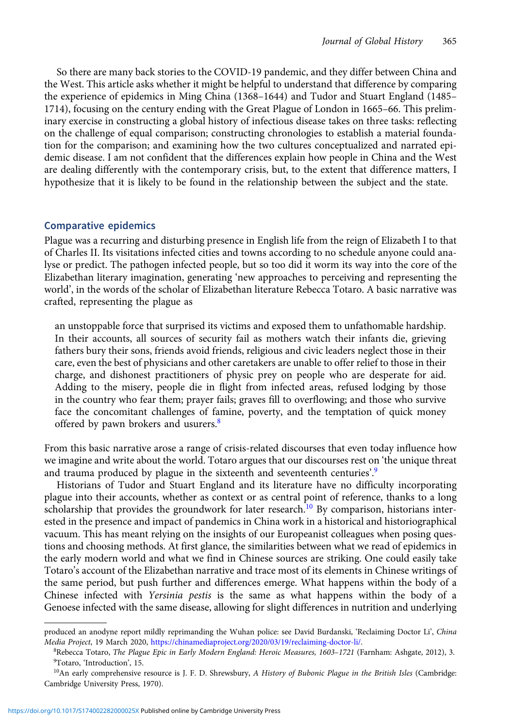So there are many back stories to the COVID-19 pandemic, and they differ between China and the West. This article asks whether it might be helpful to understand that difference by comparing the experience of epidemics in Ming China (1368–1644) and Tudor and Stuart England (1485– 1714), focusing on the century ending with the Great Plague of London in 1665–66. This preliminary exercise in constructing a global history of infectious disease takes on three tasks: reflecting on the challenge of equal comparison; constructing chronologies to establish a material foundation for the comparison; and examining how the two cultures conceptualized and narrated epidemic disease. I am not confident that the differences explain how people in China and the West are dealing differently with the contemporary crisis, but, to the extent that difference matters, I hypothesize that it is likely to be found in the relationship between the subject and the state.

### Comparative epidemics

Plague was a recurring and disturbing presence in English life from the reign of Elizabeth I to that of Charles II. Its visitations infected cities and towns according to no schedule anyone could analyse or predict. The pathogen infected people, but so too did it worm its way into the core of the Elizabethan literary imagination, generating 'new approaches to perceiving and representing the world', in the words of the scholar of Elizabethan literature Rebecca Totaro. A basic narrative was crafted, representing the plague as

an unstoppable force that surprised its victims and exposed them to unfathomable hardship. In their accounts, all sources of security fail as mothers watch their infants die, grieving fathers bury their sons, friends avoid friends, religious and civic leaders neglect those in their care, even the best of physicians and other caretakers are unable to offer relief to those in their charge, and dishonest practitioners of physic prey on people who are desperate for aid. Adding to the misery, people die in flight from infected areas, refused lodging by those in the country who fear them; prayer fails; graves fill to overflowing; and those who survive face the concomitant challenges of famine, poverty, and the temptation of quick money offered by pawn brokers and usurers.<sup>8</sup>

From this basic narrative arose a range of crisis-related discourses that even today influence how we imagine and write about the world. Totaro argues that our discourses rest on 'the unique threat and trauma produced by plague in the sixteenth and seventeenth centuries'.<sup>9</sup>

Historians of Tudor and Stuart England and its literature have no difficulty incorporating plague into their accounts, whether as context or as central point of reference, thanks to a long scholarship that provides the groundwork for later research.<sup>10</sup> By comparison, historians interested in the presence and impact of pandemics in China work in a historical and historiographical vacuum. This has meant relying on the insights of our Europeanist colleagues when posing questions and choosing methods. At first glance, the similarities between what we read of epidemics in the early modern world and what we find in Chinese sources are striking. One could easily take Totaro's account of the Elizabethan narrative and trace most of its elements in Chinese writings of the same period, but push further and differences emerge. What happens within the body of a Chinese infected with Yersinia pestis is the same as what happens within the body of a Genoese infected with the same disease, allowing for slight differences in nutrition and underlying

produced an anodyne report mildly reprimanding the Wuhan police: see David Burdanski, 'Reclaiming Doctor Li', China Media Project, 19 March 2020, [https://chinamediaproject.org/2020/03/19/reclaiming-doctor-li/.](https://chinamediaproject.org/2020/03/19/reclaiming-doctor-li/)

<sup>8</sup> Rebecca Totaro, The Plague Epic in Early Modern England: Heroic Measures, 1603–1721 (Farnham: Ashgate, 2012), 3. 9 Totaro, 'Introduction', 15.

<sup>&</sup>lt;sup>10</sup>An early comprehensive resource is J. F. D. Shrewsbury, A History of Bubonic Plague in the British Isles (Cambridge: Cambridge University Press, 1970).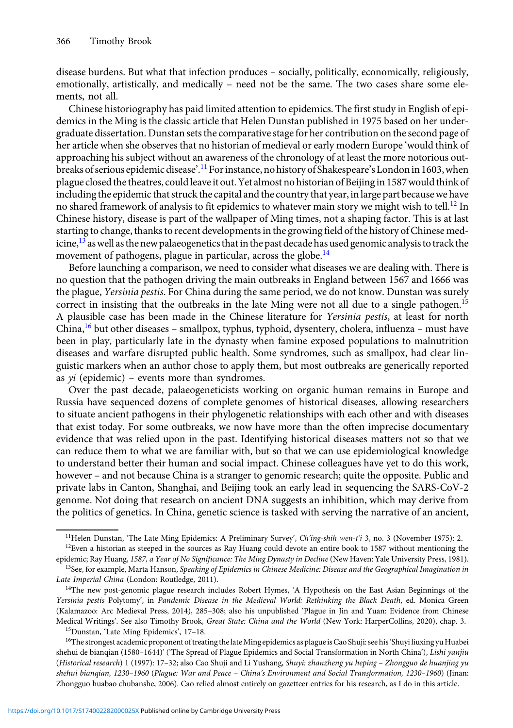disease burdens. But what that infection produces – socially, politically, economically, religiously, emotionally, artistically, and medically – need not be the same. The two cases share some elements, not all.

Chinese historiography has paid limited attention to epidemics. The first study in English of epidemics in the Ming is the classic article that Helen Dunstan published in 1975 based on her undergraduate dissertation. Dunstan sets the comparative stage for her contribution on the second page of her article when she observes that no historian of medieval or early modern Europe 'would think of approaching his subject without an awareness of the chronology of at least the more notorious outbreaks of serious epidemic disease'. <sup>11</sup> For instance, no history of Shakespeare's London in 1603, when plague closed the theatres, could leave it out. Yet almost no historian of Beijing in 1587 would think of including the epidemic that struck the capital and the country that year, in large part because we have no shared framework of analysis to fit epidemics to whatever main story we might wish to tell.<sup>12</sup> In Chinese history, disease is part of the wallpaper of Ming times, not a shaping factor. This is at last starting to change, thanks to recent developments in the growing field of the history of Chinese medicine,  $^{13}$  as well as the new palaeogenetics that in the past decade has used genomic analysis to track the movement of pathogens, plague in particular, across the globe.<sup>14</sup>

Before launching a comparison, we need to consider what diseases we are dealing with. There is no question that the pathogen driving the main outbreaks in England between 1567 and 1666 was the plague, Yersinia pestis. For China during the same period, we do not know. Dunstan was surely correct in insisting that the outbreaks in the late Ming were not all due to a single pathogen.<sup>15</sup> A plausible case has been made in the Chinese literature for Yersinia pestis, at least for north China,  $^{16}$  but other diseases – smallpox, typhus, typhoid, dysentery, cholera, influenza – must have been in play, particularly late in the dynasty when famine exposed populations to malnutrition diseases and warfare disrupted public health. Some syndromes, such as smallpox, had clear linguistic markers when an author chose to apply them, but most outbreaks are generically reported as  $yi$  (epidemic) – events more than syndromes.

Over the past decade, palaeogeneticists working on organic human remains in Europe and Russia have sequenced dozens of complete genomes of historical diseases, allowing researchers to situate ancient pathogens in their phylogenetic relationships with each other and with diseases that exist today. For some outbreaks, we now have more than the often imprecise documentary evidence that was relied upon in the past. Identifying historical diseases matters not so that we can reduce them to what we are familiar with, but so that we can use epidemiological knowledge to understand better their human and social impact. Chinese colleagues have yet to do this work, however – and not because China is a stranger to genomic research; quite the opposite. Public and private labs in Canton, Shanghai, and Beijing took an early lead in sequencing the SARS-CoV-2 genome. Not doing that research on ancient DNA suggests an inhibition, which may derive from the politics of genetics. In China, genetic science is tasked with serving the narrative of an ancient,

<sup>&</sup>lt;sup>11</sup>Helen Dunstan, 'The Late Ming Epidemics: A Preliminary Survey', Ch'ing-shih wen-t'i 3, no. 3 (November 1975): 2.

<sup>&</sup>lt;sup>12</sup>Even a historian as steeped in the sources as Ray Huang could devote an entire book to 1587 without mentioning the epidemic; Ray Huang, 1587, a Year of No Significance: The Ming Dynasty in Decline (New Haven: Yale University Press, 1981). <sup>13</sup>See, for example, Marta Hanson, Speaking of Epidemics in Chinese Medicine: Disease and the Geographical Imagination in

Late Imperial China (London: Routledge, 2011).

<sup>&</sup>lt;sup>14</sup>The new post-genomic plague research includes Robert Hymes, 'A Hypothesis on the East Asian Beginnings of the Yersinia pestis Polytomy', in Pandemic Disease in the Medieval World: Rethinking the Black Death, ed. Monica Green (Kalamazoo: Arc Medieval Press, 2014), 285–308; also his unpublished 'Plague in Jin and Yuan: Evidence from Chinese Medical Writings'. See also Timothy Brook, Great State: China and the World (New York: HarperCollins, 2020), chap. 3.

<sup>15</sup>Dunstan, 'Late Ming Epidemics', 17–18.

<sup>&</sup>lt;sup>16</sup>The strongest academic proponent of treating the late Ming epidemics as plague is Cao Shuji: see his 'Shuyi liuxing yu Huabei shehui de bianqian (1580–1644)' ('The Spread of Plague Epidemics and Social Transformation in North China'), Lishi yanjiu (Historical research) 1 (1997): 17–32; also Cao Shuji and Li Yushang, Shuyi: zhanzheng yu heping – Zhongguo de huanjing yu shehui bianqian, 1230–1960 (Plague: War and Peace – China's Environment and Social Transformation, 1230–1960) (Jinan: Zhongguo huabao chubanshe, 2006). Cao relied almost entirely on gazetteer entries for his research, as I do in this article.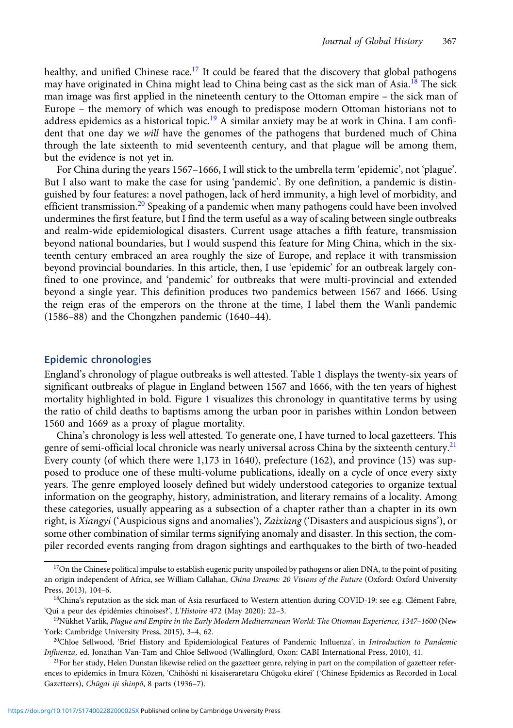healthy, and unified Chinese race.<sup>17</sup> It could be feared that the discovery that global pathogens may have originated in China might lead to China being cast as the sick man of Asia.<sup>18</sup> The sick man image was first applied in the nineteenth century to the Ottoman empire – the sick man of Europe – the memory of which was enough to predispose modern Ottoman historians not to address epidemics as a historical topic.<sup>19</sup> A similar anxiety may be at work in China. I am confident that one day we will have the genomes of the pathogens that burdened much of China through the late sixteenth to mid seventeenth century, and that plague will be among them, but the evidence is not yet in.

For China during the years 1567–1666, I will stick to the umbrella term 'epidemic', not 'plague'. But I also want to make the case for using 'pandemic'. By one definition, a pandemic is distinguished by four features: a novel pathogen, lack of herd immunity, a high level of morbidity, and efficient transmission.<sup>20</sup> Speaking of a pandemic when many pathogens could have been involved undermines the first feature, but I find the term useful as a way of scaling between single outbreaks and realm-wide epidemiological disasters. Current usage attaches a fifth feature, transmission beyond national boundaries, but I would suspend this feature for Ming China, which in the sixteenth century embraced an area roughly the size of Europe, and replace it with transmission beyond provincial boundaries. In this article, then, I use 'epidemic' for an outbreak largely confined to one province, and 'pandemic' for outbreaks that were multi-provincial and extended beyond a single year. This definition produces two pandemics between 1567 and 1666. Using the reign eras of the emperors on the throne at the time, I label them the Wanli pandemic (1586–88) and the Chongzhen pandemic (1640–44).

## Epidemic chronologies

England's chronology of plague outbreaks is well attested. Table [1](#page-5-0) displays the twenty-six years of significant outbreaks of plague in England between 1567 and 1666, with the ten years of highest mortality highlighted in bold. Figure [1](#page-5-0) visualizes this chronology in quantitative terms by using the ratio of child deaths to baptisms among the urban poor in parishes within London between 1560 and 1669 as a proxy of plague mortality.

China's chronology is less well attested. To generate one, I have turned to local gazetteers. This genre of semi-official local chronicle was nearly universal across China by the sixteenth century.<sup>21</sup> Every county (of which there were 1,173 in 1640), prefecture (162), and province (15) was supposed to produce one of these multi-volume publications, ideally on a cycle of once every sixty years. The genre employed loosely defined but widely understood categories to organize textual information on the geography, history, administration, and literary remains of a locality. Among these categories, usually appearing as a subsection of a chapter rather than a chapter in its own right, is Xiangyi ('Auspicious signs and anomalies'), Zaixiang ('Disasters and auspicious signs'), or some other combination of similar terms signifying anomaly and disaster. In this section, the compiler recorded events ranging from dragon sightings and earthquakes to the birth of two-headed

<sup>&</sup>lt;sup>17</sup>On the Chinese political impulse to establish eugenic purity unspoiled by pathogens or alien DNA, to the point of positing an origin independent of Africa, see William Callahan, China Dreams: 20 Visions of the Future (Oxford: Oxford University Press, 2013), 104–6.

 $18$ China's reputation as the sick man of Asia resurfaced to Western attention during COVID-19: see e.g. Clément Fabre, 'Qui a peur des épidémies chinoises?', L'Histoire 472 (May 2020): 22–3.

<sup>&</sup>lt;sup>19</sup>Nükhet Varlik, Plague and Empire in the Early Modern Mediterranean World: The Ottoman Experience, 1347–1600 (New York: Cambridge University Press, 2015), 3–4, 62.

<sup>&</sup>lt;sup>20</sup>Chloe Sellwood, 'Brief History and Epidemiological Features of Pandemic Influenza', in Introduction to Pandemic Influenza, ed. Jonathan Van-Tam and Chloe Sellwood (Wallingford, Oxon: CABI International Press, 2010), 41.

 $^{21}$ For her study, Helen Dunstan likewise relied on the gazetteer genre, relying in part on the compilation of gazetteer references to epidemics in Imura Kōzen, 'Chihōshi ni kisaiseraretaru Chūgoku ekirei' ('Chinese Epidemics as Recorded in Local Gazetteers), Chūgai iji shinpō, 8 parts (1936–7).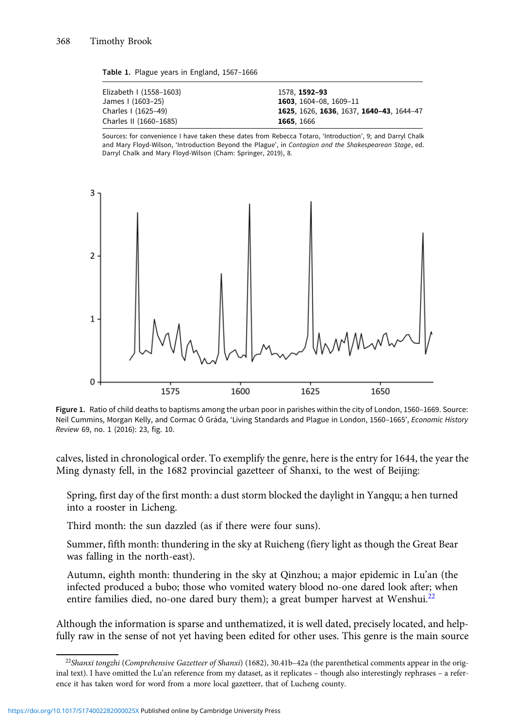<span id="page-5-0"></span>

|  |  |  |  |  | Table 1. Plague years in England, 1567-1666 |
|--|--|--|--|--|---------------------------------------------|
|--|--|--|--|--|---------------------------------------------|

| Elizabeth I (1558-1603) | 1578. 1592-93                            |
|-------------------------|------------------------------------------|
| James I (1603–25)       | 1603. 1604-08. 1609-11                   |
| Charles I (1625-49)     | 1625, 1626, 1636, 1637, 1640-43, 1644-47 |
| Charles II (1660-1685)  | 1665, 1666                               |

Sources: for convenience I have taken these dates from Rebecca Totaro, 'Introduction', 9; and Darryl Chalk and Mary Floyd-Wilson, 'Introduction Beyond the Plague', in Contagion and the Shakespearean Stage, ed. Darryl Chalk and Mary Floyd-Wilson (Cham: Springer, 2019), 8.



Figure 1. Ratio of child deaths to baptisms among the urban poor in parishes within the city of London, 1560–1669. Source: Neil Cummins, Morgan Kelly, and Cormac Ó Gráda, 'Living Standards and Plague in London, 1560–1665', Economic History Review 69, no. 1 (2016): 23, fig. 10.

calves, listed in chronological order. To exemplify the genre, here is the entry for 1644, the year the Ming dynasty fell, in the 1682 provincial gazetteer of Shanxi, to the west of Beijing:

Spring, first day of the first month: a dust storm blocked the daylight in Yangqu; a hen turned into a rooster in Licheng.

Third month: the sun dazzled (as if there were four suns).

Summer, fifth month: thundering in the sky at Ruicheng (fiery light as though the Great Bear was falling in the north-east).

Autumn, eighth month: thundering in the sky at Qinzhou; a major epidemic in Lu'an (the infected produced a bubo; those who vomited watery blood no-one dared look after; when entire families died, no-one dared bury them); a great bumper harvest at Wenshui.<sup>22</sup>

Although the information is sparse and unthematized, it is well dated, precisely located, and helpfully raw in the sense of not yet having been edited for other uses. This genre is the main source

<sup>&</sup>lt;sup>22</sup>Shanxi tongzhi (Comprehensive Gazetteer of Shanxi) (1682), 30.41b–42a (the parenthetical comments appear in the original text). I have omitted the Lu'an reference from my dataset, as it replicates – though also interestingly rephrases – a reference it has taken word for word from a more local gazetteer, that of Lucheng county.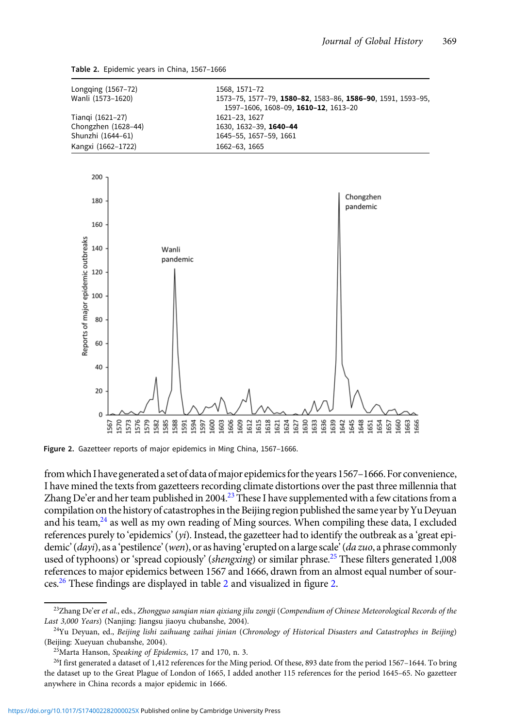

<span id="page-6-0"></span>Table 2. Epidemic years in China, 1567–1666

Figure 2. Gazetteer reports of major epidemics in Ming China, 1567–1666.

from which I have generated a set of data of major epidemics for the years 1567–1666. For convenience, I have mined the texts from gazetteers recording climate distortions over the past three millennia that Zhang De'er and her team published in 2004.<sup>23</sup> These I have supplemented with a few citations from a compilation on the history of catastrophes in the Beijing region published the same year by Yu Deyuan and his team, $^{24}$  as well as my own reading of Ming sources. When compiling these data, I excluded references purely to 'epidemics'  $(v_i)$ . Instead, the gazetteer had to identify the outbreak as a 'great epidemic' (dayi), as a 'pestilence' (wen), or as having 'erupted on a large scale' (da zuo, a phrase commonly used of typhoons) or 'spread copiously' (*shengxing*) or similar phrase.<sup>25</sup> These filters generated 1,008 references to major epidemics between 1567 and 1666, drawn from an almost equal number of sources.26 These findings are displayed in table 2 and visualized in figure 2.

<sup>&</sup>lt;sup>23</sup>Zhang De'er et al., eds., Zhongguo sanqian nian qixiang jilu zongji (Compendium of Chinese Meteorological Records of the Last 3,000 Years) (Nanjing: Jiangsu jiaoyu chubanshe, 2004).

<sup>&</sup>lt;sup>24</sup>Yu Deyuan, ed., Beijing lishi zaihuang zaihai jinian (Chronology of Historical Disasters and Catastrophes in Beijing) (Beijing: Xueyuan chubanshe, 2004).

<sup>&</sup>lt;sup>25</sup>Marta Hanson, Speaking of Epidemics, 17 and 170, n. 3.

 $^{26}$ I first generated a dataset of 1,412 references for the Ming period. Of these, 893 date from the period 1567–1644. To bring the dataset up to the Great Plague of London of 1665, I added another 115 references for the period 1645–65. No gazetteer anywhere in China records a major epidemic in 1666.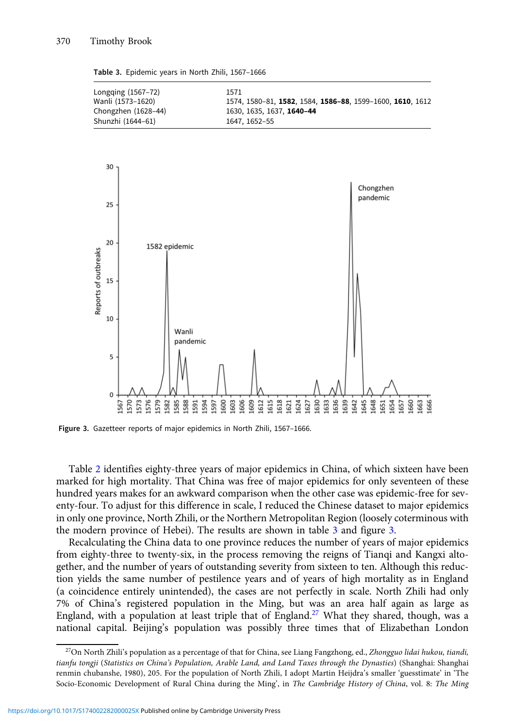

<span id="page-7-0"></span>Table 3. Epidemic years in North Zhili, 1567–1666

Figure 3. Gazetteer reports of major epidemics in North Zhili, 1567–1666.

Table [2](#page-6-0) identifies eighty-three years of major epidemics in China, of which sixteen have been marked for high mortality. That China was free of major epidemics for only seventeen of these hundred years makes for an awkward comparison when the other case was epidemic-free for seventy-four. To adjust for this difference in scale, I reduced the Chinese dataset to major epidemics in only one province, North Zhili, or the Northern Metropolitan Region (loosely coterminous with the modern province of Hebei). The results are shown in table 3 and figure 3.

Recalculating the China data to one province reduces the number of years of major epidemics from eighty-three to twenty-six, in the process removing the reigns of Tianqi and Kangxi altogether, and the number of years of outstanding severity from sixteen to ten. Although this reduction yields the same number of pestilence years and of years of high mortality as in England (a coincidence entirely unintended), the cases are not perfectly in scale. North Zhili had only 7% of China's registered population in the Ming, but was an area half again as large as England, with a population at least triple that of England.<sup>27</sup> What they shared, though, was a national capital. Beijing's population was possibly three times that of Elizabethan London

<sup>&</sup>lt;sup>27</sup>On North Zhili's population as a percentage of that for China, see Liang Fangzhong, ed., Zhongguo lidai hukou, tiandi, tianfu tongji (Statistics on China's Population, Arable Land, and Land Taxes through the Dynasties) (Shanghai: Shanghai renmin chubanshe, 1980), 205. For the population of North Zhili, I adopt Martin Heijdra's smaller 'guesstimate' in 'The Socio-Economic Development of Rural China during the Ming', in The Cambridge History of China, vol. 8: The Ming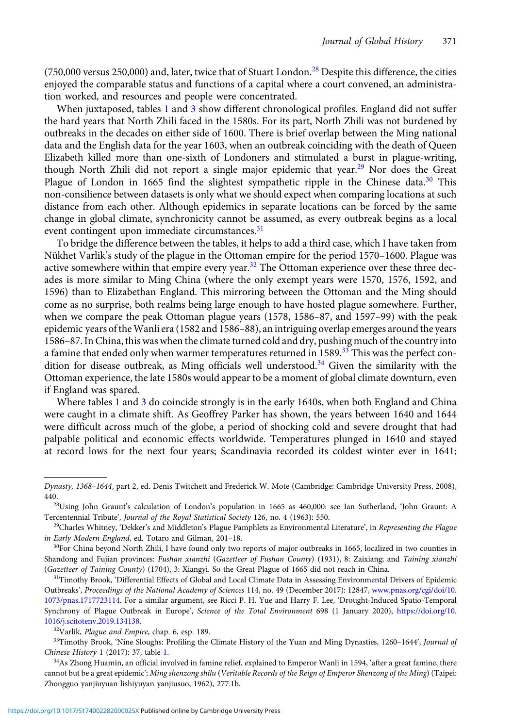(750,000 versus 250,000) and, later, twice that of Stuart London.<sup>28</sup> Despite this difference, the cities enjoyed the comparable status and functions of a capital where a court convened, an administration worked, and resources and people were concentrated.

When juxtaposed, tables [1](#page-5-0) and [3](#page-7-0) show different chronological profiles. England did not suffer the hard years that North Zhili faced in the 1580s. For its part, North Zhili was not burdened by outbreaks in the decades on either side of 1600. There is brief overlap between the Ming national data and the English data for the year 1603, when an outbreak coinciding with the death of Queen Elizabeth killed more than one-sixth of Londoners and stimulated a burst in plague-writing, though North Zhili did not report a single major epidemic that year.<sup>29</sup> Nor does the Great Plague of London in 1665 find the slightest sympathetic ripple in the Chinese data.<sup>30</sup> This non-consilience between datasets is only what we should expect when comparing locations at such distance from each other. Although epidemics in separate locations can be forced by the same change in global climate, synchronicity cannot be assumed, as every outbreak begins as a local event contingent upon immediate circumstances.<sup>31</sup>

To bridge the difference between the tables, it helps to add a third case, which I have taken from Nükhet Varlik's study of the plague in the Ottoman empire for the period 1570–1600. Plague was active somewhere within that empire every year.<sup>32</sup> The Ottoman experience over these three decades is more similar to Ming China (where the only exempt years were 1570, 1576, 1592, and 1596) than to Elizabethan England. This mirroring between the Ottoman and the Ming should come as no surprise, both realms being large enough to have hosted plague somewhere. Further, when we compare the peak Ottoman plague years (1578, 1586–87, and 1597–99) with the peak epidemic years of theWanli era (1582 and 1586–88), an intriguing overlap emerges around the years 1586–87. In China, this was when the climate turned cold and dry, pushing much of the country into a famine that ended only when warmer temperatures returned in 1589.<sup>33</sup> This was the perfect condition for disease outbreak, as Ming officials well understood.<sup>34</sup> Given the similarity with the Ottoman experience, the late 1580s would appear to be a moment of global climate downturn, even if England was spared.

Where tables [1](#page-5-0) and [3](#page-7-0) do coincide strongly is in the early 1640s, when both England and China were caught in a climate shift. As Geoffrey Parker has shown, the years between 1640 and 1644 were difficult across much of the globe, a period of shocking cold and severe drought that had palpable political and economic effects worldwide. Temperatures plunged in 1640 and stayed at record lows for the next four years; Scandinavia recorded its coldest winter ever in 1641;

Dynasty, 1368–1644, part 2, ed. Denis Twitchett and Frederick W. Mote (Cambridge: Cambridge University Press, 2008), 440.

<sup>28</sup>Using John Graunt's calculation of London's population in 1665 as 460,000: see Ian Sutherland, 'John Graunt: A Tercentennial Tribute', Journal of the Royal Statistical Society 126, no. 4 (1963): 550.

<sup>&</sup>lt;sup>29</sup>Charles Whitney, 'Dekker's and Middleton's Plague Pamphlets as Environmental Literature', in Representing the Plague in Early Modern England, ed. Totaro and Gilman, 201–18.

<sup>&</sup>lt;sup>30</sup>For China beyond North Zhili, I have found only two reports of major outbreaks in 1665, localized in two counties in Shandong and Fujian provinces: Fushan xianzhi (Gazetteer of Fushan County) (1931), 8: Zaixiang; and Taining xianzhi (Gazetteer of Taining County) (1704), 3: Xiangyi. So the Great Plague of 1665 did not reach in China.

<sup>&</sup>lt;sup>31</sup>Timothy Brook, 'Differential Effects of Global and Local Climate Data in Assessing Environmental Drivers of Epidemic Outbreaks', Proceedings of the National Academy of Sciences 114, no. 49 (December 2017): 12847, [www.pnas.org/cgi/doi/10.](https://www.pnas.org/cgi/doi/10.1073/pnas.1717723114) [1073/pnas.1717723114](https://www.pnas.org/cgi/doi/10.1073/pnas.1717723114). For a similar argument, see Ricci P. H. Yue and Harry F. Lee, 'Drought-Induced Spatio-Temporal Synchrony of Plague Outbreak in Europe', Science of the Total Environment 698 (1 January 2020), [https://doi.org/10.](https://doi.org/10.1016/j.scitotenv.2019.134138) [1016/j.scitotenv.2019.134138](https://doi.org/10.1016/j.scitotenv.2019.134138).

<sup>&</sup>lt;sup>32</sup>Varlik, Plague and Empire, chap. 6, esp. 189.

<sup>&</sup>lt;sup>33</sup>Timothy Brook, 'Nine Sloughs: Profiling the Climate History of the Yuan and Ming Dynasties, 1260-1644', Journal of Chinese History 1 (2017): 37, table [1.](#page-5-0)

<sup>34</sup>As Zhong Huamin, an official involved in famine relief, explained to Emperor Wanli in 1594, 'after a great famine, there cannot but be a great epidemic'; Ming shenzong shilu (Veritable Records of the Reign of Emperor Shenzong of the Ming) (Taipei: Zhongguo yanjiuyuan lishiyuyan yanjiusuo, 1962), 277.1b.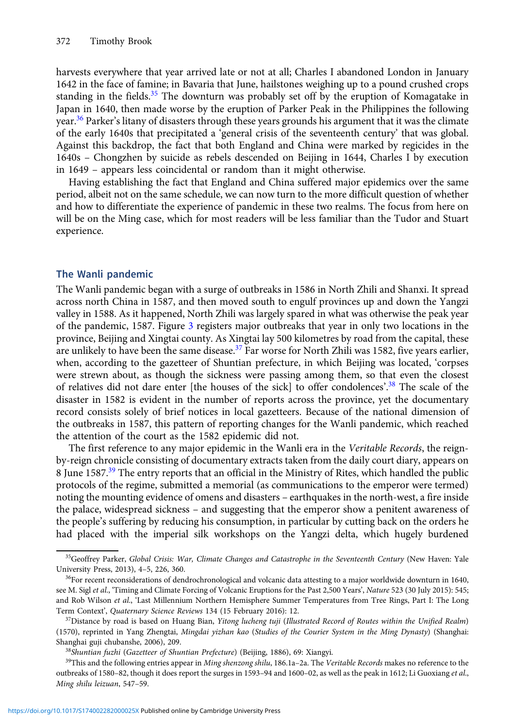harvests everywhere that year arrived late or not at all; Charles I abandoned London in January 1642 in the face of famine; in Bavaria that June, hailstones weighing up to a pound crushed crops standing in the fields.<sup>35</sup> The downturn was probably set off by the eruption of Komagatake in Japan in 1640, then made worse by the eruption of Parker Peak in the Philippines the following year.<sup>36</sup> Parker's litany of disasters through these years grounds his argument that it was the climate of the early 1640s that precipitated a 'general crisis of the seventeenth century' that was global. Against this backdrop, the fact that both England and China were marked by regicides in the 1640s – Chongzhen by suicide as rebels descended on Beijing in 1644, Charles I by execution in 1649 – appears less coincidental or random than it might otherwise.

Having establishing the fact that England and China suffered major epidemics over the same period, albeit not on the same schedule, we can now turn to the more difficult question of whether and how to differentiate the experience of pandemic in these two realms. The focus from here on will be on the Ming case, which for most readers will be less familiar than the Tudor and Stuart experience.

## The Wanli pandemic

The Wanli pandemic began with a surge of outbreaks in 1586 in North Zhili and Shanxi. It spread across north China in 1587, and then moved south to engulf provinces up and down the Yangzi valley in 1588. As it happened, North Zhili was largely spared in what was otherwise the peak year of the pandemic, 1587. Figure [3](#page-7-0) registers major outbreaks that year in only two locations in the province, Beijing and Xingtai county. As Xingtai lay 500 kilometres by road from the capital, these are unlikely to have been the same disease.<sup>37</sup> Far worse for North Zhili was 1582, five years earlier, when, according to the gazetteer of Shuntian prefecture, in which Beijing was located, 'corpses were strewn about, as though the sickness were passing among them, so that even the closest of relatives did not dare enter [the houses of the sick] to offer condolences'.<sup>38</sup> The scale of the disaster in 1582 is evident in the number of reports across the province, yet the documentary record consists solely of brief notices in local gazetteers. Because of the national dimension of the outbreaks in 1587, this pattern of reporting changes for the Wanli pandemic, which reached the attention of the court as the 1582 epidemic did not.

The first reference to any major epidemic in the Wanli era in the Veritable Records, the reignby-reign chronicle consisting of documentary extracts taken from the daily court diary, appears on 8 June 1587.<sup>39</sup> The entry reports that an official in the Ministry of Rites, which handled the public protocols of the regime, submitted a memorial (as communications to the emperor were termed) noting the mounting evidence of omens and disasters – earthquakes in the north-west, a fire inside the palace, widespread sickness – and suggesting that the emperor show a penitent awareness of the people's suffering by reducing his consumption, in particular by cutting back on the orders he had placed with the imperial silk workshops on the Yangzi delta, which hugely burdened

<sup>&</sup>lt;sup>35</sup>Geoffrey Parker, Global Crisis: War, Climate Changes and Catastrophe in the Seventeenth Century (New Haven: Yale University Press, 2013), 4–5, 226, 360.

<sup>&</sup>lt;sup>36</sup>For recent reconsiderations of dendrochronological and volcanic data attesting to a major worldwide downturn in 1640, see M. Sigl et al., 'Timing and Climate Forcing of Volcanic Eruptions for the Past 2,500 Years', Nature 523 (30 July 2015): 545; and Rob Wilson et al., 'Last Millennium Northern Hemisphere Summer Temperatures from Tree Rings, Part I: The Long Term Context', Quaternary Science Reviews 134 (15 February 2016): 12.

 $37$ Distance by road is based on Huang Bian, Yitong lucheng tuji (Illustrated Record of Routes within the Unified Realm) (1570), reprinted in Yang Zhengtai, Mingdai yizhan kao (Studies of the Courier System in the Ming Dynasty) (Shanghai: Shanghai guji chubanshe, 2006), 209.

<sup>38</sup>Shuntian fuzhi (Gazetteer of Shuntian Prefecture) (Beijing, 1886), 69: Xiangyi.

 $39$ This and the following entries appear in *Ming shenzong shilu*, 186.1a–2a. The Veritable Records makes no reference to the outbreaks of 1580–82, though it does report the surges in 1593–94 and 1600–02, as well as the peak in 1612; Li Guoxiang et al., Ming shilu leizuan, 547–59.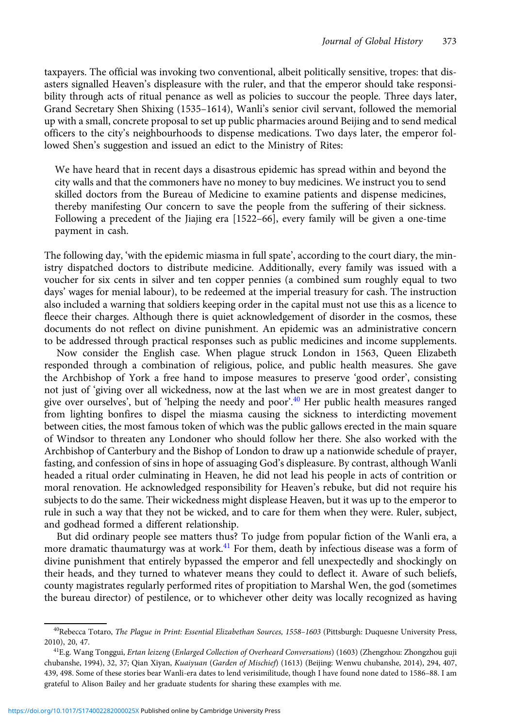taxpayers. The official was invoking two conventional, albeit politically sensitive, tropes: that disasters signalled Heaven's displeasure with the ruler, and that the emperor should take responsibility through acts of ritual penance as well as policies to succour the people. Three days later, Grand Secretary Shen Shixing (1535–1614), Wanli's senior civil servant, followed the memorial up with a small, concrete proposal to set up public pharmacies around Beijing and to send medical officers to the city's neighbourhoods to dispense medications. Two days later, the emperor followed Shen's suggestion and issued an edict to the Ministry of Rites:

We have heard that in recent days a disastrous epidemic has spread within and beyond the city walls and that the commoners have no money to buy medicines. We instruct you to send skilled doctors from the Bureau of Medicine to examine patients and dispense medicines, thereby manifesting Our concern to save the people from the suffering of their sickness. Following a precedent of the Jiajing era [1522–66], every family will be given a one-time payment in cash.

The following day, 'with the epidemic miasma in full spate', according to the court diary, the ministry dispatched doctors to distribute medicine. Additionally, every family was issued with a voucher for six cents in silver and ten copper pennies (a combined sum roughly equal to two days' wages for menial labour), to be redeemed at the imperial treasury for cash. The instruction also included a warning that soldiers keeping order in the capital must not use this as a licence to fleece their charges. Although there is quiet acknowledgement of disorder in the cosmos, these documents do not reflect on divine punishment. An epidemic was an administrative concern to be addressed through practical responses such as public medicines and income supplements.

Now consider the English case. When plague struck London in 1563, Queen Elizabeth responded through a combination of religious, police, and public health measures. She gave the Archbishop of York a free hand to impose measures to preserve 'good order', consisting not just of 'giving over all wickedness, now at the last when we are in most greatest danger to give over ourselves', but of 'helping the needy and poor'.<sup>40</sup> Her public health measures ranged from lighting bonfires to dispel the miasma causing the sickness to interdicting movement between cities, the most famous token of which was the public gallows erected in the main square of Windsor to threaten any Londoner who should follow her there. She also worked with the Archbishop of Canterbury and the Bishop of London to draw up a nationwide schedule of prayer, fasting, and confession of sins in hope of assuaging God's displeasure. By contrast, although Wanli headed a ritual order culminating in Heaven, he did not lead his people in acts of contrition or moral renovation. He acknowledged responsibility for Heaven's rebuke, but did not require his subjects to do the same. Their wickedness might displease Heaven, but it was up to the emperor to rule in such a way that they not be wicked, and to care for them when they were. Ruler, subject, and godhead formed a different relationship.

But did ordinary people see matters thus? To judge from popular fiction of the Wanli era, a more dramatic thaumaturgy was at work.<sup>41</sup> For them, death by infectious disease was a form of divine punishment that entirely bypassed the emperor and fell unexpectedly and shockingly on their heads, and they turned to whatever means they could to deflect it. Aware of such beliefs, county magistrates regularly performed rites of propitiation to Marshal Wen, the god (sometimes the bureau director) of pestilence, or to whichever other deity was locally recognized as having

<sup>&</sup>lt;sup>40</sup>Rebecca Totaro, The Plague in Print: Essential Elizabethan Sources, 1558-1603 (Pittsburgh: Duquesne University Press, 2010), 20, 47.

 $^{41}$ E.g. Wang Tonggui, Ertan leizeng (Enlarged Collection of Overheard Conversations) (1603) (Zhengzhou: Zhongzhou guji chubanshe, 1994), 32, 37; Qian Xiyan, Kuaiyuan (Garden of Mischief) (1613) (Beijing: Wenwu chubanshe, 2014), 294, 407, 439, 498. Some of these stories bear Wanli-era dates to lend verisimilitude, though I have found none dated to 1586–88. I am grateful to Alison Bailey and her graduate students for sharing these examples with me.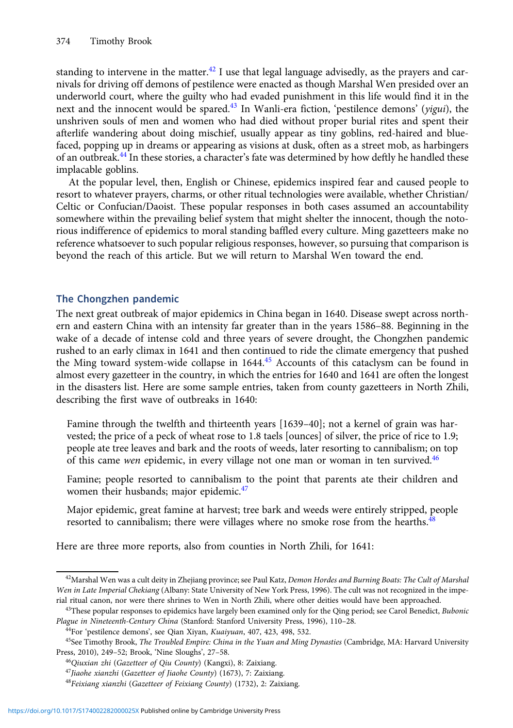standing to intervene in the matter.<sup>42</sup> I use that legal language advisedly, as the prayers and carnivals for driving off demons of pestilence were enacted as though Marshal Wen presided over an underworld court, where the guilty who had evaded punishment in this life would find it in the next and the innocent would be spared.<sup>43</sup> In Wanli-era fiction, 'pestilence demons' (*yigui*), the unshriven souls of men and women who had died without proper burial rites and spent their afterlife wandering about doing mischief, usually appear as tiny goblins, red-haired and bluefaced, popping up in dreams or appearing as visions at dusk, often as a street mob, as harbingers of an outbreak.<sup>44</sup> In these stories, a character's fate was determined by how deftly he handled these implacable goblins.

At the popular level, then, English or Chinese, epidemics inspired fear and caused people to resort to whatever prayers, charms, or other ritual technologies were available, whether Christian/ Celtic or Confucian/Daoist. These popular responses in both cases assumed an accountability somewhere within the prevailing belief system that might shelter the innocent, though the notorious indifference of epidemics to moral standing baffled every culture. Ming gazetteers make no reference whatsoever to such popular religious responses, however, so pursuing that comparison is beyond the reach of this article. But we will return to Marshal Wen toward the end.

## The Chongzhen pandemic

The next great outbreak of major epidemics in China began in 1640. Disease swept across northern and eastern China with an intensity far greater than in the years 1586–88. Beginning in the wake of a decade of intense cold and three years of severe drought, the Chongzhen pandemic rushed to an early climax in 1641 and then continued to ride the climate emergency that pushed the Ming toward system-wide collapse in  $1644<sup>45</sup>$  Accounts of this cataclysm can be found in almost every gazetteer in the country, in which the entries for 1640 and 1641 are often the longest in the disasters list. Here are some sample entries, taken from county gazetteers in North Zhili, describing the first wave of outbreaks in 1640:

Famine through the twelfth and thirteenth years [1639–40]; not a kernel of grain was harvested; the price of a peck of wheat rose to 1.8 taels [ounces] of silver, the price of rice to 1.9; people ate tree leaves and bark and the roots of weeds, later resorting to cannibalism; on top of this came wen epidemic, in every village not one man or woman in ten survived.<sup>46</sup>

Famine; people resorted to cannibalism to the point that parents ate their children and women their husbands; major epidemic.<sup>47</sup>

Major epidemic, great famine at harvest; tree bark and weeds were entirely stripped, people resorted to cannibalism; there were villages where no smoke rose from the hearths.<sup>48</sup>

Here are three more reports, also from counties in North Zhili, for 1641:

<sup>&</sup>lt;sup>42</sup>Marshal Wen was a cult deity in Zhejiang province; see Paul Katz, Demon Hordes and Burning Boats: The Cult of Marshal Wen in Late Imperial Chekiang (Albany: State University of New York Press, 1996). The cult was not recognized in the imperial ritual canon, nor were there shrines to Wen in North Zhili, where other deities would have been approached.

<sup>&</sup>lt;sup>43</sup>These popular responses to epidemics have largely been examined only for the Qing period; see Carol Benedict, Bubonic Plague in Nineteenth-Century China (Stanford: Stanford University Press, 1996), 110–28.

<sup>&</sup>lt;sup>44</sup>For 'pestilence demons', see Qian Xiyan, *Kuaiyuan*, 407, 423, 498, 532.

<sup>&</sup>lt;sup>45</sup>See Timothy Brook, The Troubled Empire: China in the Yuan and Ming Dynasties (Cambridge, MA: Harvard University Press, 2010), 249–52; Brook, 'Nine Sloughs', 27–58.

<sup>&</sup>lt;sup>46</sup>Qiuxian zhi (Gazetteer of Qiu County) (Kangxi), 8: Zaixiang.

<sup>47</sup>Jiaohe xianzhi (Gazetteer of Jiaohe County) (1673), 7: Zaixiang.

<sup>&</sup>lt;sup>48</sup>Feixiang xianzhi (Gazetteer of Feixiang County) (1732), 2: Zaixiang.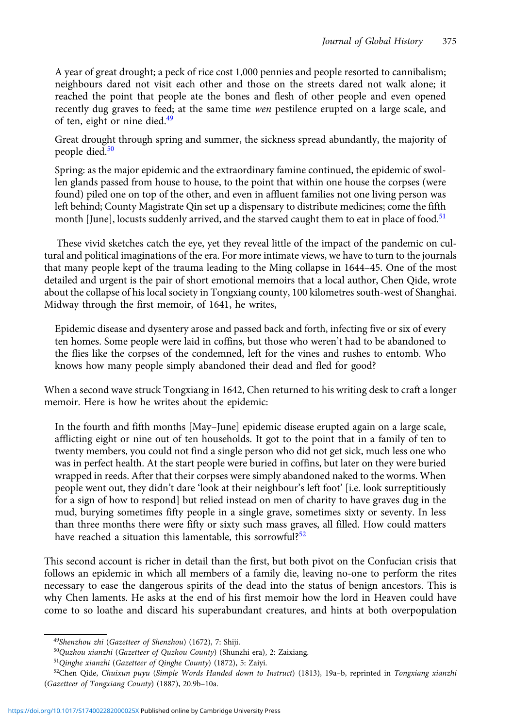A year of great drought; a peck of rice cost 1,000 pennies and people resorted to cannibalism; neighbours dared not visit each other and those on the streets dared not walk alone; it reached the point that people ate the bones and flesh of other people and even opened recently dug graves to feed; at the same time wen pestilence erupted on a large scale, and of ten, eight or nine died.<sup>49</sup>

Great drought through spring and summer, the sickness spread abundantly, the majority of people died.<sup>50</sup>

Spring: as the major epidemic and the extraordinary famine continued, the epidemic of swollen glands passed from house to house, to the point that within one house the corpses (were found) piled one on top of the other, and even in affluent families not one living person was left behind; County Magistrate Qin set up a dispensary to distribute medicines; come the fifth month [June], locusts suddenly arrived, and the starved caught them to eat in place of food.<sup>51</sup>

These vivid sketches catch the eye, yet they reveal little of the impact of the pandemic on cultural and political imaginations of the era. For more intimate views, we have to turn to the journals that many people kept of the trauma leading to the Ming collapse in 1644–45. One of the most detailed and urgent is the pair of short emotional memoirs that a local author, Chen Qide, wrote about the collapse of his local society in Tongxiang county, 100 kilometres south-west of Shanghai. Midway through the first memoir, of 1641, he writes,

Epidemic disease and dysentery arose and passed back and forth, infecting five or six of every ten homes. Some people were laid in coffins, but those who weren't had to be abandoned to the flies like the corpses of the condemned, left for the vines and rushes to entomb. Who knows how many people simply abandoned their dead and fled for good?

When a second wave struck Tongxiang in 1642, Chen returned to his writing desk to craft a longer memoir. Here is how he writes about the epidemic:

In the fourth and fifth months [May–June] epidemic disease erupted again on a large scale, afflicting eight or nine out of ten households. It got to the point that in a family of ten to twenty members, you could not find a single person who did not get sick, much less one who was in perfect health. At the start people were buried in coffins, but later on they were buried wrapped in reeds. After that their corpses were simply abandoned naked to the worms. When people went out, they didn't dare 'look at their neighbour's left foot' [i.e. look surreptitiously for a sign of how to respond] but relied instead on men of charity to have graves dug in the mud, burying sometimes fifty people in a single grave, sometimes sixty or seventy. In less than three months there were fifty or sixty such mass graves, all filled. How could matters have reached a situation this lamentable, this sorrowful? $52$ 

This second account is richer in detail than the first, but both pivot on the Confucian crisis that follows an epidemic in which all members of a family die, leaving no-one to perform the rites necessary to ease the dangerous spirits of the dead into the status of benign ancestors. This is why Chen laments. He asks at the end of his first memoir how the lord in Heaven could have come to so loathe and discard his superabundant creatures, and hints at both overpopulation

<sup>49</sup>Shenzhou zhi (Gazetteer of Shenzhou) (1672), 7: Shiji.

<sup>50</sup>Quzhou xianzhi (Gazetteer of Quzhou County) (Shunzhi era), 2: Zaixiang.

<sup>51</sup>Qinghe xianzhi (Gazetteer of Qinghe County) (1872), 5: Zaiyi.

<sup>52</sup>Chen Qide, Chuixun puyu (Simple Words Handed down to Instruct) (1813), 19a-b, reprinted in Tongxiang xianzhi (Gazetteer of Tongxiang County) (1887), 20.9b–10a.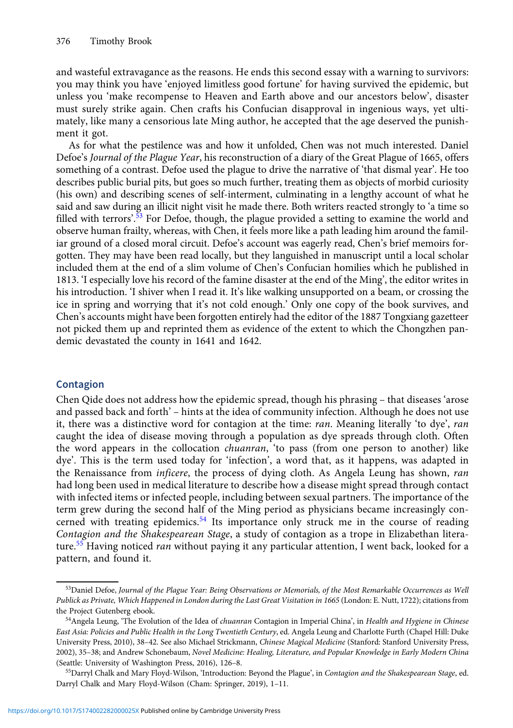and wasteful extravagance as the reasons. He ends this second essay with a warning to survivors: you may think you have 'enjoyed limitless good fortune' for having survived the epidemic, but unless you 'make recompense to Heaven and Earth above and our ancestors below', disaster must surely strike again. Chen crafts his Confucian disapproval in ingenious ways, yet ultimately, like many a censorious late Ming author, he accepted that the age deserved the punishment it got.

As for what the pestilence was and how it unfolded, Chen was not much interested. Daniel Defoe's Journal of the Plague Year, his reconstruction of a diary of the Great Plague of 1665, offers something of a contrast. Defoe used the plague to drive the narrative of 'that dismal year'. He too describes public burial pits, but goes so much further, treating them as objects of morbid curiosity (his own) and describing scenes of self-interment, culminating in a lengthy account of what he said and saw during an illicit night visit he made there. Both writers reacted strongly to 'a time so filled with terrors'.<sup>53</sup> For Defoe, though, the plague provided a setting to examine the world and observe human frailty, whereas, with Chen, it feels more like a path leading him around the familiar ground of a closed moral circuit. Defoe's account was eagerly read, Chen's brief memoirs forgotten. They may have been read locally, but they languished in manuscript until a local scholar included them at the end of a slim volume of Chen's Confucian homilies which he published in 1813. 'I especially love his record of the famine disaster at the end of the Ming', the editor writes in his introduction. 'I shiver when I read it. It's like walking unsupported on a beam, or crossing the ice in spring and worrying that it's not cold enough.' Only one copy of the book survives, and Chen's accounts might have been forgotten entirely had the editor of the 1887 Tongxiang gazetteer not picked them up and reprinted them as evidence of the extent to which the Chongzhen pandemic devastated the county in 1641 and 1642.

# Contagion

Chen Qide does not address how the epidemic spread, though his phrasing – that diseases 'arose and passed back and forth' – hints at the idea of community infection. Although he does not use it, there was a distinctive word for contagion at the time: ran. Meaning literally 'to dye', ran caught the idea of disease moving through a population as dye spreads through cloth. Often the word appears in the collocation chuanran, 'to pass (from one person to another) like dye'. This is the term used today for 'infection', a word that, as it happens, was adapted in the Renaissance from *inficere*, the process of dying cloth. As Angela Leung has shown, ran had long been used in medical literature to describe how a disease might spread through contact with infected items or infected people, including between sexual partners. The importance of the term grew during the second half of the Ming period as physicians became increasingly concerned with treating epidemics.<sup>54</sup> Its importance only struck me in the course of reading Contagion and the Shakespearean Stage, a study of contagion as a trope in Elizabethan literature.<sup>55</sup> Having noticed *ran* without paying it any particular attention, I went back, looked for a pattern, and found it.

<sup>53</sup>Daniel Defoe, Journal of the Plague Year: Being Observations or Memorials, of the Most Remarkable Occurrences as Well Publick as Private, Which Happened in London during the Last Great Visitation in 1665 (London: E. Nutt, 1722); citations from the Project Gutenberg ebook.

<sup>&</sup>lt;sup>54</sup>Angela Leung, 'The Evolution of the Idea of *chuanran* Contagion in Imperial China', in Health and Hygiene in Chinese East Asia: Policies and Public Health in the Long Twentieth Century, ed. Angela Leung and Charlotte Furth (Chapel Hill: Duke University Press, 2010), 38–42. See also Michael Strickmann, Chinese Magical Medicine (Stanford: Stanford University Press, 2002), 35–38; and Andrew Schonebaum, Novel Medicine: Healing, Literature, and Popular Knowledge in Early Modern China (Seattle: University of Washington Press, 2016), 126–8.

<sup>&</sup>lt;sup>55</sup>Darryl Chalk and Mary Floyd-Wilson, 'Introduction: Beyond the Plague', in Contagion and the Shakespearean Stage, ed. Darryl Chalk and Mary Floyd-Wilson (Cham: Springer, 2019), 1–11.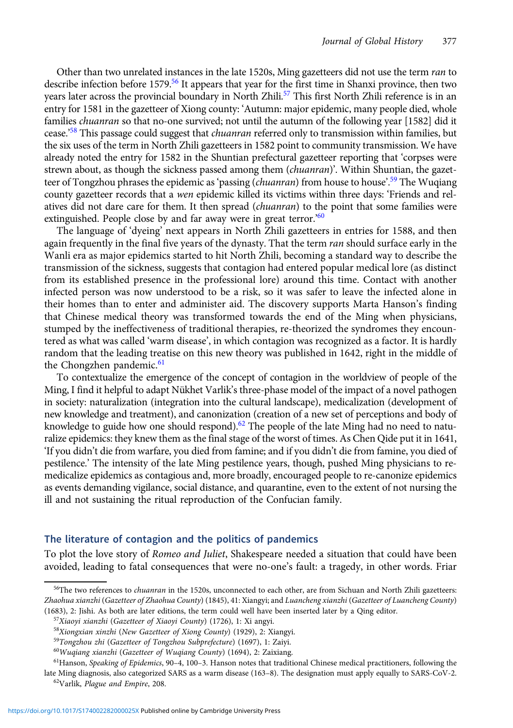Other than two unrelated instances in the late 1520s, Ming gazetteers did not use the term ran to describe infection before 1579.<sup>56</sup> It appears that year for the first time in Shanxi province, then two years later across the provincial boundary in North Zhili.<sup>57</sup> This first North Zhili reference is in an entry for 1581 in the gazetteer of Xiong county: 'Autumn: major epidemic, many people died, whole families *chuanran* so that no-one survived; not until the autumn of the following year [1582] did it cease.<sup>258</sup> This passage could suggest that *chuanran r*eferred only to transmission within families, but the six uses of the term in North Zhili gazetteers in 1582 point to community transmission. We have already noted the entry for 1582 in the Shuntian prefectural gazetteer reporting that 'corpses were strewn about, as though the sickness passed among them (*chuanran*)'. Within Shuntian, the gazetteer of Tongzhou phrases the epidemic as 'passing (*chuanran*) from house to house'.<sup>59</sup> The Wuqiang county gazetteer records that a wen epidemic killed its victims within three days: 'Friends and relatives did not dare care for them. It then spread (*chuanran*) to the point that some families were extinguished. People close by and far away were in great terror.'<sup>60</sup>

The language of 'dyeing' next appears in North Zhili gazetteers in entries for 1588, and then again frequently in the final five years of the dynasty. That the term ran should surface early in the Wanli era as major epidemics started to hit North Zhili, becoming a standard way to describe the transmission of the sickness, suggests that contagion had entered popular medical lore (as distinct from its established presence in the professional lore) around this time. Contact with another infected person was now understood to be a risk, so it was safer to leave the infected alone in their homes than to enter and administer aid. The discovery supports Marta Hanson's finding that Chinese medical theory was transformed towards the end of the Ming when physicians, stumped by the ineffectiveness of traditional therapies, re-theorized the syndromes they encountered as what was called 'warm disease', in which contagion was recognized as a factor. It is hardly random that the leading treatise on this new theory was published in 1642, right in the middle of the Chongzhen pandemic.<sup>61</sup>

To contextualize the emergence of the concept of contagion in the worldview of people of the Ming, I find it helpful to adapt Nükhet Varlik's three-phase model of the impact of a novel pathogen in society: naturalization (integration into the cultural landscape), medicalization (development of new knowledge and treatment), and canonization (creation of a new set of perceptions and body of knowledge to guide how one should respond).<sup>62</sup> The people of the late Ming had no need to naturalize epidemics: they knew them as the final stage of the worst of times. As Chen Qide put it in 1641, 'If you didn't die from warfare, you died from famine; and if you didn't die from famine, you died of pestilence.' The intensity of the late Ming pestilence years, though, pushed Ming physicians to remedicalize epidemics as contagious and, more broadly, encouraged people to re-canonize epidemics as events demanding vigilance, social distance, and quarantine, even to the extent of not nursing the ill and not sustaining the ritual reproduction of the Confucian family.

#### The literature of contagion and the politics of pandemics

To plot the love story of Romeo and Juliet, Shakespeare needed a situation that could have been avoided, leading to fatal consequences that were no-one's fault: a tragedy, in other words. Friar

<sup>&</sup>lt;sup>56</sup>The two references to *chuanran* in the 1520s, unconnected to each other, are from Sichuan and North Zhili gazetteers: Zhaohua xianzhi (Gazetteer of Zhaohua County) (1845), 41: Xiangyi; and Luancheng xianzhi (Gazetteer of Luancheng County) (1683), 2: Jishi. As both are later editions, the term could well have been inserted later by a Qing editor.

<sup>&</sup>lt;sup>57</sup>Xiaoyi xianzhi (Gazetteer of Xiaoyi County) (1726), 1: Xi angyi.

<sup>58</sup>Xiongxian xinzhi (New Gazetteer of Xiong County) (1929), 2: Xiangyi.

<sup>59</sup>Tongzhou zhi (Gazetteer of Tongzhou Subprefecture) (1697), 1: Zaiyi.

 $60$ Wuqiang xianzhi (Gazetteer of Wuqiang County) (1694), 2: Zaixiang.

 $<sup>61</sup>$ Hanson, Speaking of Epidemics, 90–4, 100–3. Hanson notes that traditional Chinese medical practitioners, following the</sup> late Ming diagnosis, also categorized SARS as a warm disease (163–8). The designation must apply equally to SARS-CoV-2. 62Varlik, Plague and Empire, 208.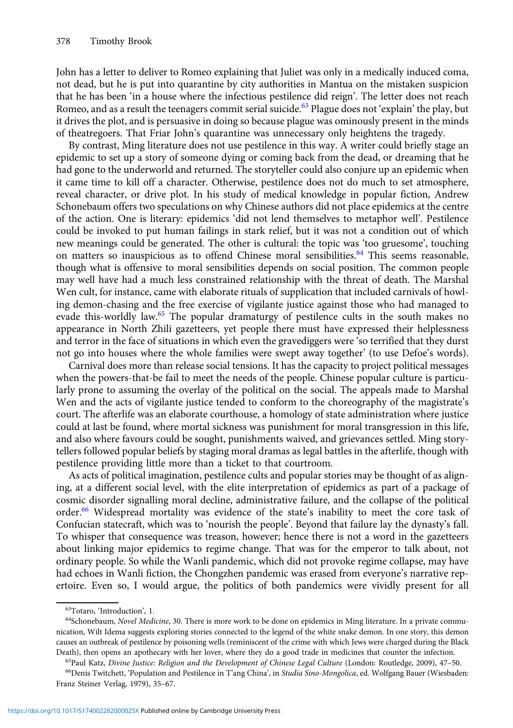John has a letter to deliver to Romeo explaining that Juliet was only in a medically induced coma, not dead, but he is put into quarantine by city authorities in Mantua on the mistaken suspicion that he has been 'in a house where the infectious pestilence did reign'. The letter does not reach Romeo, and as a result the teenagers commit serial suicide.<sup>63</sup> Plague does not 'explain' the play, but it drives the plot, and is persuasive in doing so because plague was ominously present in the minds of theatregoers. That Friar John's quarantine was unnecessary only heightens the tragedy.

By contrast, Ming literature does not use pestilence in this way. A writer could briefly stage an epidemic to set up a story of someone dying or coming back from the dead, or dreaming that he had gone to the underworld and returned. The storyteller could also conjure up an epidemic when it came time to kill off a character. Otherwise, pestilence does not do much to set atmosphere, reveal character, or drive plot. In his study of medical knowledge in popular fiction, Andrew Schonebaum offers two speculations on why Chinese authors did not place epidemics at the centre of the action. One is literary: epidemics 'did not lend themselves to metaphor well'. Pestilence could be invoked to put human failings in stark relief, but it was not a condition out of which new meanings could be generated. The other is cultural: the topic was 'too gruesome', touching on matters so inauspicious as to offend Chinese moral sensibilities.<sup>64</sup> This seems reasonable, though what is offensive to moral sensibilities depends on social position. The common people may well have had a much less constrained relationship with the threat of death. The Marshal Wen cult, for instance, came with elaborate rituals of supplication that included carnivals of howling demon-chasing and the free exercise of vigilante justice against those who had managed to evade this-worldly law.<sup>65</sup> The popular dramaturgy of pestilence cults in the south makes no appearance in North Zhili gazetteers, yet people there must have expressed their helplessness and terror in the face of situations in which even the gravediggers were 'so terrified that they durst not go into houses where the whole families were swept away together' (to use Defoe's words).

Carnival does more than release social tensions. It has the capacity to project political messages when the powers-that-be fail to meet the needs of the people. Chinese popular culture is particularly prone to assuming the overlay of the political on the social. The appeals made to Marshal Wen and the acts of vigilante justice tended to conform to the choreography of the magistrate's court. The afterlife was an elaborate courthouse, a homology of state administration where justice could at last be found, where mortal sickness was punishment for moral transgression in this life, and also where favours could be sought, punishments waived, and grievances settled. Ming storytellers followed popular beliefs by staging moral dramas as legal battles in the afterlife, though with pestilence providing little more than a ticket to that courtroom.

As acts of political imagination, pestilence cults and popular stories may be thought of as aligning, at a different social level, with the elite interpretation of epidemics as part of a package of cosmic disorder signalling moral decline, administrative failure, and the collapse of the political order.<sup>66</sup> Widespread mortality was evidence of the state's inability to meet the core task of Confucian statecraft, which was to 'nourish the people'. Beyond that failure lay the dynasty's fall. To whisper that consequence was treason, however; hence there is not a word in the gazetteers about linking major epidemics to regime change. That was for the emperor to talk about, not ordinary people. So while the Wanli pandemic, which did not provoke regime collapse, may have had echoes in Wanli fiction, the Chongzhen pandemic was erased from everyone's narrative repertoire. Even so, I would argue, the politics of both pandemics were vividly present for all

<sup>63</sup>Totaro, 'Introduction', 1.

<sup>&</sup>lt;sup>64</sup>Schonebaum, Novel Medicine, 30. There is more work to be done on epidemics in Ming literature. In a private communication, Wilt Idema suggests exploring stories connected to the legend of the white snake demon. In one story, this demon causes an outbreak of pestilence by poisoning wells (reminiscent of the crime with which Jews were charged during the Black Death), then opens an apothecary with her lover, where they do a good trade in medicines that counter the infection.

 $65$ Paul Katz, Divine Justice: Religion and the Development of Chinese Legal Culture (London: Routledge, 2009), 47–50.

<sup>&</sup>lt;sup>66</sup>Denis Twitchett, 'Population and Pestilence in T'ang China', in Studia Sino-Mongolica, ed. Wolfgang Bauer (Wiesbaden: Franz Steiner Verlag, 1979), 35–67.